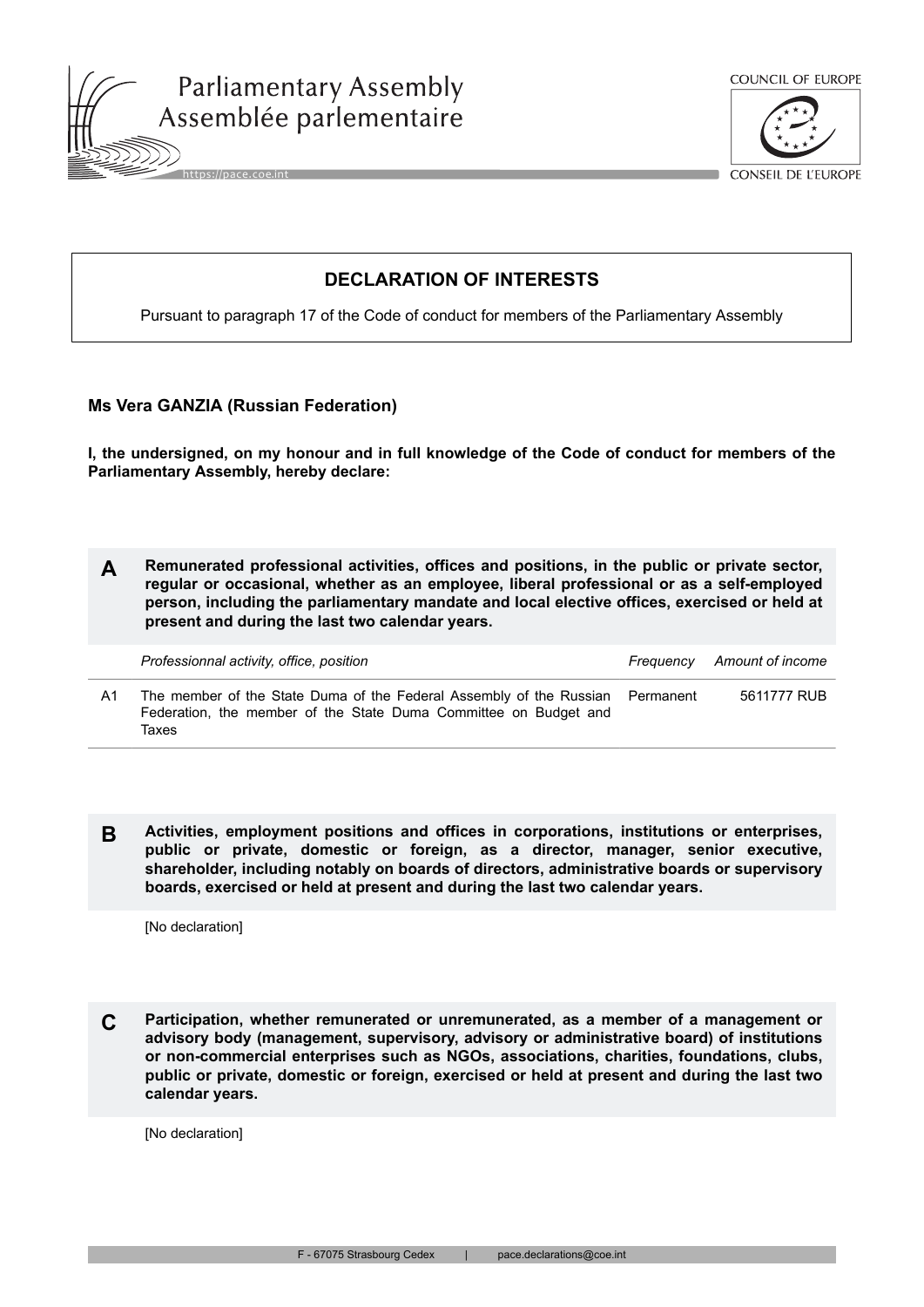



**CONSEIL DE L'EUROPE** 

## **DECLARATION OF INTERESTS**

Pursuant to paragraph 17 of the Code of conduct for members of the Parliamentary Assembly

## **Ms Vera GANZIA (Russian Federation)**

**I, the undersigned, on my honour and in full knowledge of the Code of conduct for members of the Parliamentary Assembly, hereby declare:**

**A Remunerated professional activities, offices and positions, in the public or private sector, regular or occasional, whether as an employee, liberal professional or as a self-employed person, including the parliamentary mandate and local elective offices, exercised or held at present and during the last two calendar years.**

|    | Professionnal activity, office, position                                                                                                          | Frequency Amount of income |
|----|---------------------------------------------------------------------------------------------------------------------------------------------------|----------------------------|
| Δ1 | The member of the State Duma of the Federal Assembly of the Russian Permanent<br>Federation, the member of the State Duma Committee on Budget and | 5611777 RUB                |

**B Activities, employment positions and offices in corporations, institutions or enterprises, public or private, domestic or foreign, as a director, manager, senior executive, shareholder, including notably on boards of directors, administrative boards or supervisory boards, exercised or held at present and during the last two calendar years.**

[No declaration]

Taxes

**C Participation, whether remunerated or unremunerated, as a member of a management or advisory body (management, supervisory, advisory or administrative board) of institutions or non-commercial enterprises such as NGOs, associations, charities, foundations, clubs, public or private, domestic or foreign, exercised or held at present and during the last two calendar years.**

[No declaration]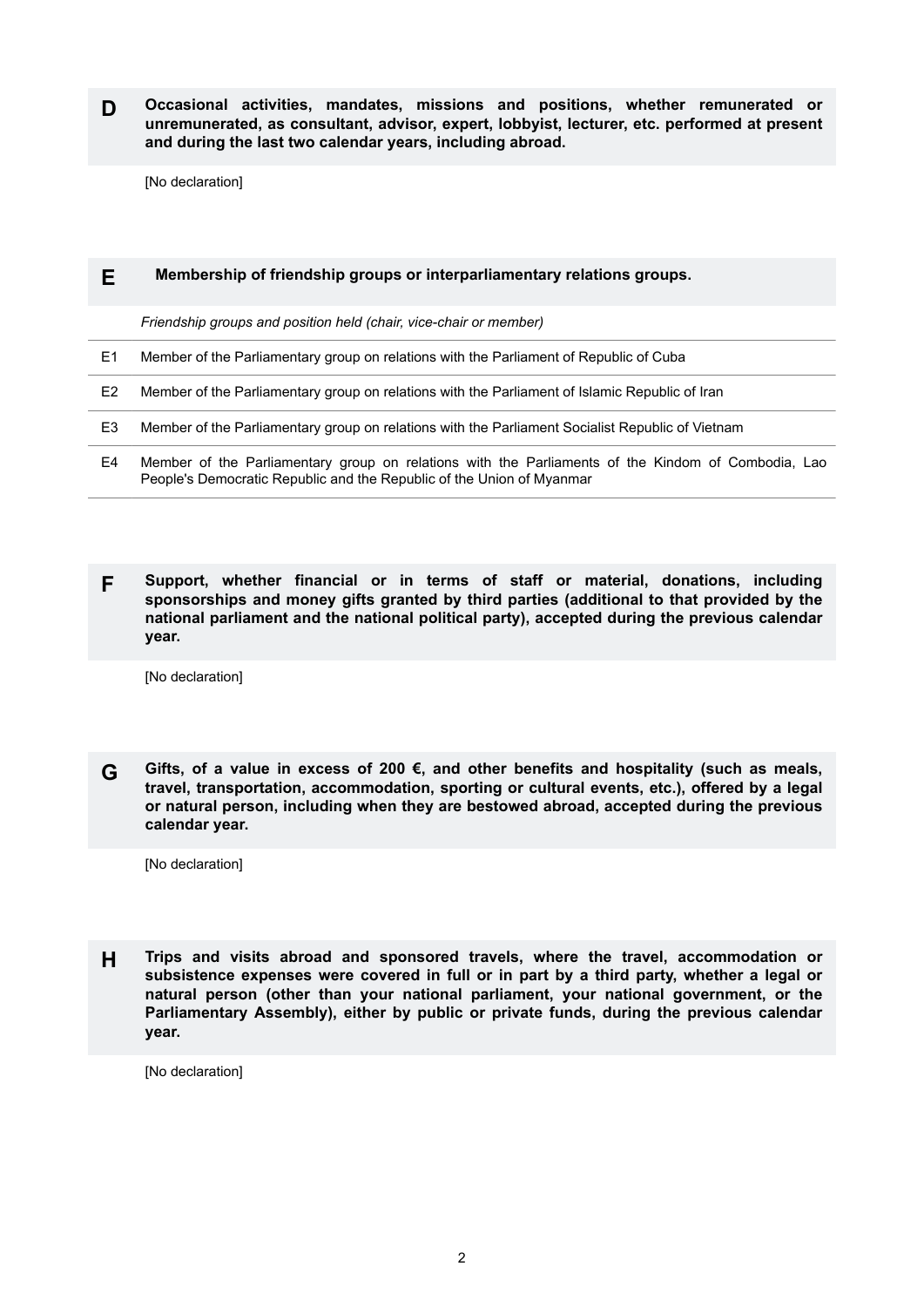**D Occasional activities, mandates, missions and positions, whether remunerated or unremunerated, as consultant, advisor, expert, lobbyist, lecturer, etc. performed at present and during the last two calendar years, including abroad.**

[No declaration]

| Ε  | Membership of friendship groups or interparliamentary relations groups.                                                                                                     |  |
|----|-----------------------------------------------------------------------------------------------------------------------------------------------------------------------------|--|
|    | Friendship groups and position held (chair, vice-chair or member)                                                                                                           |  |
| E1 | Member of the Parliamentary group on relations with the Parliament of Republic of Cuba                                                                                      |  |
| E2 | Member of the Parliamentary group on relations with the Parliament of Islamic Republic of Iran                                                                              |  |
| E3 | Member of the Parliamentary group on relations with the Parliament Socialist Republic of Vietnam                                                                            |  |
| E4 | Member of the Parliamentary group on relations with the Parliaments of the Kindom of Combodia, Lao<br>People's Democratic Republic and the Republic of the Union of Myanmar |  |

**F Support, whether financial or in terms of staff or material, donations, including sponsorships and money gifts granted by third parties (additional to that provided by the national parliament and the national political party), accepted during the previous calendar year.**

[No declaration]

**G Gifts, of a value in excess of 200 €, and other benefits and hospitality (such as meals, travel, transportation, accommodation, sporting or cultural events, etc.), offered by a legal or natural person, including when they are bestowed abroad, accepted during the previous calendar year.**

[No declaration]

**H Trips and visits abroad and sponsored travels, where the travel, accommodation or subsistence expenses were covered in full or in part by a third party, whether a legal or natural person (other than your national parliament, your national government, or the Parliamentary Assembly), either by public or private funds, during the previous calendar year.**

[No declaration]